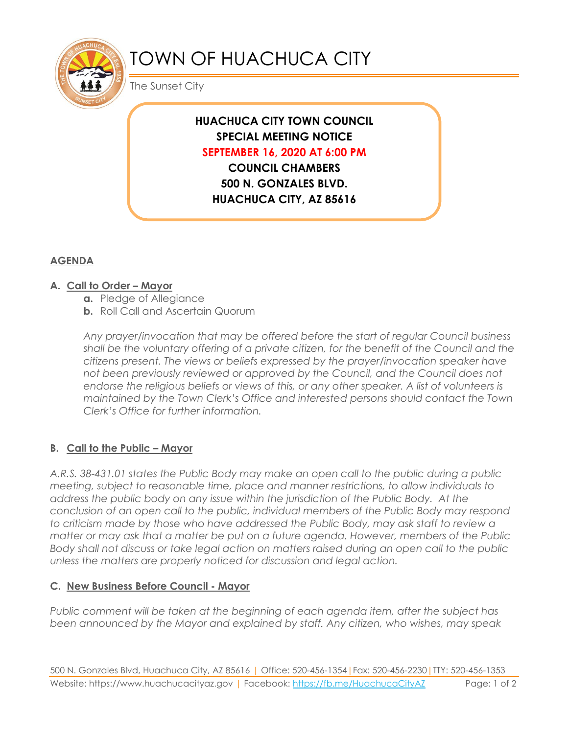

# TOWN OF HUACHUCA CITY

The Sunset City

## **HUACHUCA CITY TOWN COUNCIL SPECIAL MEETING NOTICE SEPTEMBER 16, 2020 AT 6:00 PM**

**COUNCIL CHAMBERS 500 N. GONZALES BLVD. HUACHUCA CITY, AZ 85616**

### **AGENDA**

#### **A. Call to Order – Mayor**

- **a.** Pledge of Allegiance
- **b.** Roll Call and Ascertain Quorum

*Any prayer/invocation that may be offered before the start of regular Council business shall be the voluntary offering of a private citizen, for the benefit of the Council and the citizens present. The views or beliefs expressed by the prayer/invocation speaker have not been previously reviewed or approved by the Council, and the Council does not endorse the religious beliefs or views of this, or any other speaker. A list of volunteers is maintained by the Town Clerk's Office and interested persons should contact the Town Clerk's Office for further information.*

#### **B. Call to the Public – Mayor**

*A.R.S. 38-431.01 states the Public Body may make an open call to the public during a public meeting, subject to reasonable time, place and manner restrictions, to allow individuals to address the public body on any issue within the jurisdiction of the Public Body. At the conclusion of an open call to the public, individual members of the Public Body may respond to criticism made by those who have addressed the Public Body, may ask staff to review a matter or may ask that a matter be put on a future agenda. However, members of the Public Body shall not discuss or take legal action on matters raised during an open call to the public unless the matters are properly noticed for discussion and legal action.*

#### **C. New Business Before Council - Mayor**

*Public comment will be taken at the beginning of each agenda item, after the subject has been announced by the Mayor and explained by staff. Any citizen, who wishes, may speak*